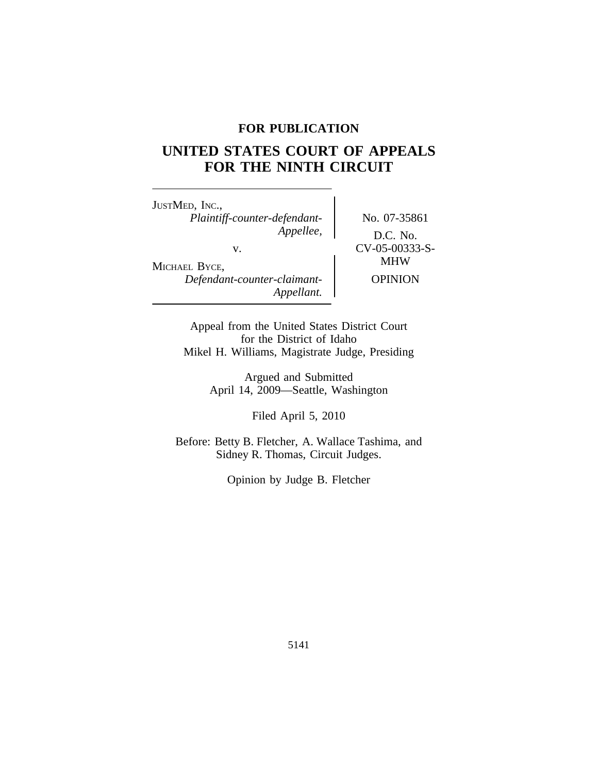# **FOR PUBLICATION**

# **UNITED STATES COURT OF APPEALS FOR THE NINTH CIRCUIT**

<sup>J</sup>USTMED, INC., *Plaintiff-counter-defendant-* No. 07-35861<br>Appellee,  $\overline{DCNQ}$ v. CV-05-00333-S-<br>
MHW MICHAEL BYCE,

*Appellee,* D.C. No. *Defendant-counter-claimant-* OPINION

Appeal from the United States District Court for the District of Idaho Mikel H. Williams, Magistrate Judge, Presiding

*Appellant.*

Argued and Submitted April 14, 2009—Seattle, Washington

Filed April 5, 2010

Before: Betty B. Fletcher, A. Wallace Tashima, and Sidney R. Thomas, Circuit Judges.

Opinion by Judge B. Fletcher

5141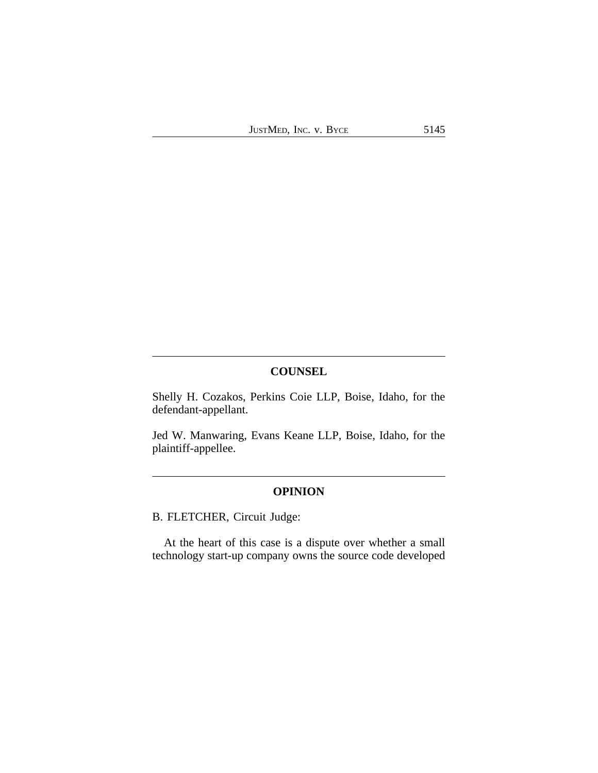# **COUNSEL**

Shelly H. Cozakos, Perkins Coie LLP, Boise, Idaho, for the defendant-appellant.

Jed W. Manwaring, Evans Keane LLP, Boise, Idaho, for the plaintiff-appellee.

## **OPINION**

B. FLETCHER, Circuit Judge:

At the heart of this case is a dispute over whether a small technology start-up company owns the source code developed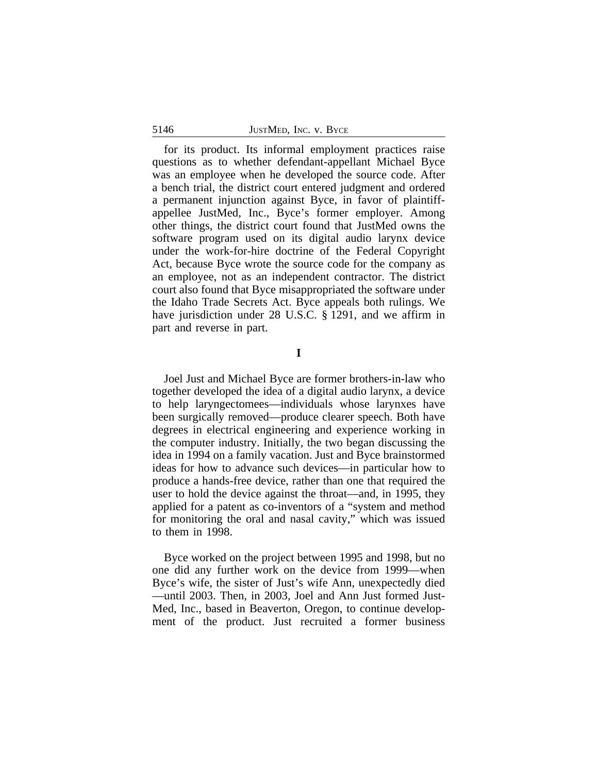#### 5146 JUSTMED, INC. V. BYCE

for its product. Its informal employment practices raise questions as to whether defendant-appellant Michael Byce was an employee when he developed the source code. After a bench trial, the district court entered judgment and ordered a permanent injunction against Byce, in favor of plaintiffappellee JustMed, Inc., Byce's former employer. Among other things, the district court found that JustMed owns the software program used on its digital audio larynx device under the work-for-hire doctrine of the Federal Copyright Act, because Byce wrote the source code for the company as an employee, not as an independent contractor. The district court also found that Byce misappropriated the software under the Idaho Trade Secrets Act. Byce appeals both rulings. We have jurisdiction under 28 U.S.C. § 1291, and we affirm in part and reverse in part.

**I**

Joel Just and Michael Byce are former brothers-in-law who together developed the idea of a digital audio larynx, a device to help laryngectomees—individuals whose larynxes have been surgically removed—produce clearer speech. Both have degrees in electrical engineering and experience working in the computer industry. Initially, the two began discussing the idea in 1994 on a family vacation. Just and Byce brainstormed ideas for how to advance such devices—in particular how to produce a hands-free device, rather than one that required the user to hold the device against the throat—and, in 1995, they applied for a patent as co-inventors of a "system and method for monitoring the oral and nasal cavity," which was issued to them in 1998.

Byce worked on the project between 1995 and 1998, but no one did any further work on the device from 1999—when Byce's wife, the sister of Just's wife Ann, unexpectedly died —until 2003. Then, in 2003, Joel and Ann Just formed Just-Med, Inc., based in Beaverton, Oregon, to continue development of the product. Just recruited a former business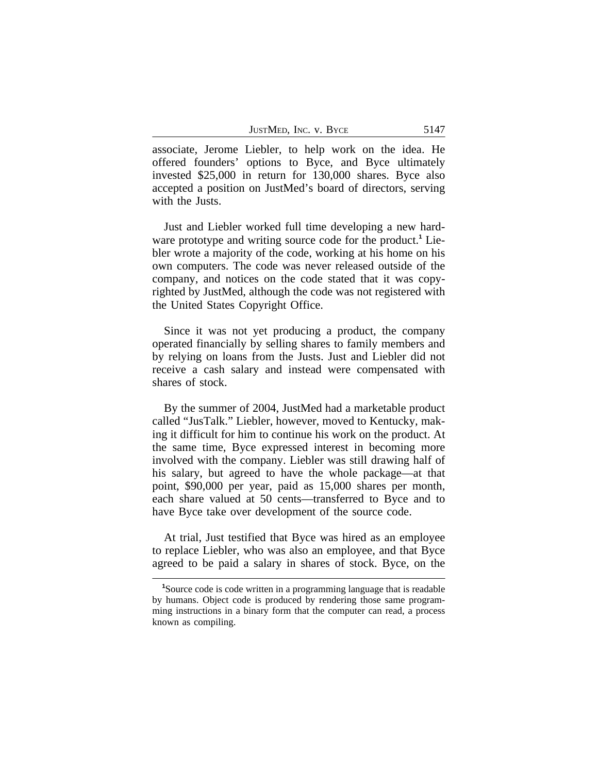JUSTMED, INC. V. BYCE 5147

associate, Jerome Liebler, to help work on the idea. He offered founders' options to Byce, and Byce ultimately invested \$25,000 in return for 130,000 shares. Byce also accepted a position on JustMed's board of directors, serving with the Justs.

Just and Liebler worked full time developing a new hardware prototype and writing source code for the product.**<sup>1</sup>** Liebler wrote a majority of the code, working at his home on his own computers. The code was never released outside of the company, and notices on the code stated that it was copyrighted by JustMed, although the code was not registered with the United States Copyright Office.

Since it was not yet producing a product, the company operated financially by selling shares to family members and by relying on loans from the Justs. Just and Liebler did not receive a cash salary and instead were compensated with shares of stock.

By the summer of 2004, JustMed had a marketable product called "JusTalk." Liebler, however, moved to Kentucky, making it difficult for him to continue his work on the product. At the same time, Byce expressed interest in becoming more involved with the company. Liebler was still drawing half of his salary, but agreed to have the whole package—at that point, \$90,000 per year, paid as 15,000 shares per month, each share valued at 50 cents—transferred to Byce and to have Byce take over development of the source code.

At trial, Just testified that Byce was hired as an employee to replace Liebler, who was also an employee, and that Byce agreed to be paid a salary in shares of stock. Byce, on the

**<sup>1</sup>**Source code is code written in a programming language that is readable by humans. Object code is produced by rendering those same programming instructions in a binary form that the computer can read, a process known as compiling.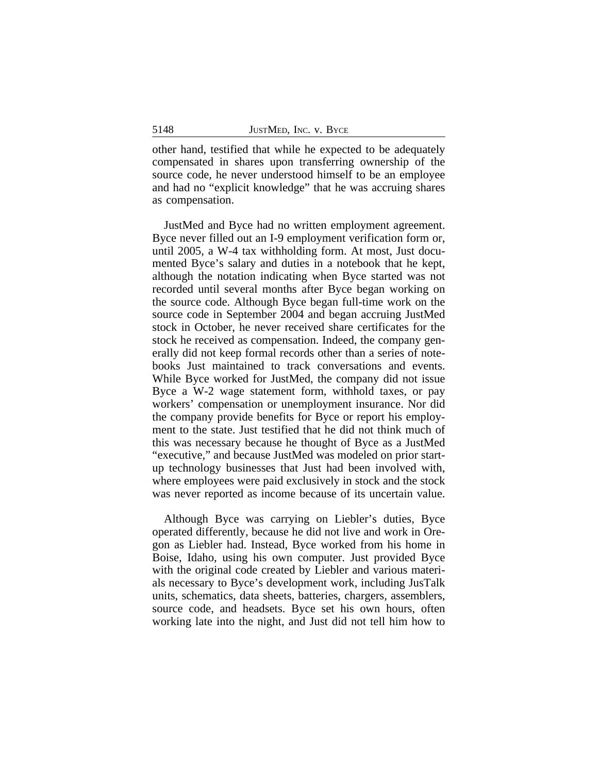other hand, testified that while he expected to be adequately compensated in shares upon transferring ownership of the source code, he never understood himself to be an employee and had no "explicit knowledge" that he was accruing shares as compensation.

JustMed and Byce had no written employment agreement. Byce never filled out an I-9 employment verification form or, until 2005, a W-4 tax withholding form. At most, Just documented Byce's salary and duties in a notebook that he kept, although the notation indicating when Byce started was not recorded until several months after Byce began working on the source code. Although Byce began full-time work on the source code in September 2004 and began accruing JustMed stock in October, he never received share certificates for the stock he received as compensation. Indeed, the company generally did not keep formal records other than a series of notebooks Just maintained to track conversations and events. While Byce worked for JustMed, the company did not issue Byce a W-2 wage statement form, withhold taxes, or pay workers' compensation or unemployment insurance. Nor did the company provide benefits for Byce or report his employment to the state. Just testified that he did not think much of this was necessary because he thought of Byce as a JustMed "executive," and because JustMed was modeled on prior startup technology businesses that Just had been involved with, where employees were paid exclusively in stock and the stock was never reported as income because of its uncertain value.

Although Byce was carrying on Liebler's duties, Byce operated differently, because he did not live and work in Oregon as Liebler had. Instead, Byce worked from his home in Boise, Idaho, using his own computer. Just provided Byce with the original code created by Liebler and various materials necessary to Byce's development work, including JusTalk units, schematics, data sheets, batteries, chargers, assemblers, source code, and headsets. Byce set his own hours, often working late into the night, and Just did not tell him how to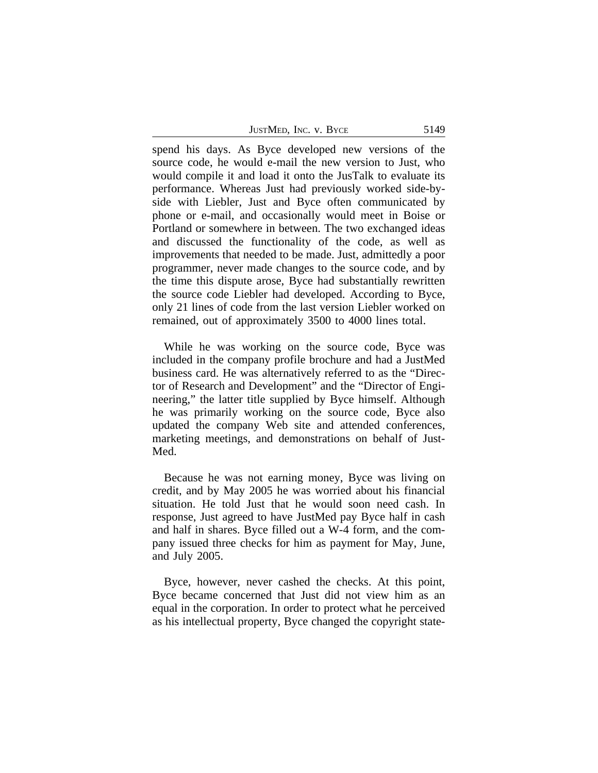| JustMed, Inc. v. Byce |  | 5149 |
|-----------------------|--|------|
|-----------------------|--|------|

spend his days. As Byce developed new versions of the source code, he would e-mail the new version to Just, who would compile it and load it onto the JusTalk to evaluate its performance. Whereas Just had previously worked side-byside with Liebler, Just and Byce often communicated by phone or e-mail, and occasionally would meet in Boise or Portland or somewhere in between. The two exchanged ideas and discussed the functionality of the code, as well as improvements that needed to be made. Just, admittedly a poor programmer, never made changes to the source code, and by the time this dispute arose, Byce had substantially rewritten the source code Liebler had developed. According to Byce, only 21 lines of code from the last version Liebler worked on remained, out of approximately 3500 to 4000 lines total.

While he was working on the source code, Byce was included in the company profile brochure and had a JustMed business card. He was alternatively referred to as the "Director of Research and Development" and the "Director of Engineering," the latter title supplied by Byce himself. Although he was primarily working on the source code, Byce also updated the company Web site and attended conferences, marketing meetings, and demonstrations on behalf of Just-Med.

Because he was not earning money, Byce was living on credit, and by May 2005 he was worried about his financial situation. He told Just that he would soon need cash. In response, Just agreed to have JustMed pay Byce half in cash and half in shares. Byce filled out a W-4 form, and the company issued three checks for him as payment for May, June, and July 2005.

Byce, however, never cashed the checks. At this point, Byce became concerned that Just did not view him as an equal in the corporation. In order to protect what he perceived as his intellectual property, Byce changed the copyright state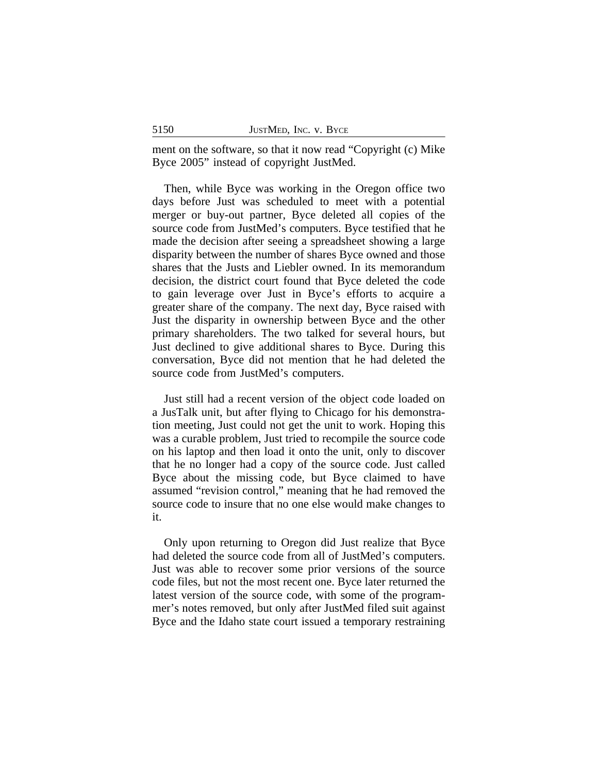ment on the software, so that it now read "Copyright (c) Mike Byce 2005" instead of copyright JustMed.

Then, while Byce was working in the Oregon office two days before Just was scheduled to meet with a potential merger or buy-out partner, Byce deleted all copies of the source code from JustMed's computers. Byce testified that he made the decision after seeing a spreadsheet showing a large disparity between the number of shares Byce owned and those shares that the Justs and Liebler owned. In its memorandum decision, the district court found that Byce deleted the code to gain leverage over Just in Byce's efforts to acquire a greater share of the company. The next day, Byce raised with Just the disparity in ownership between Byce and the other primary shareholders. The two talked for several hours, but Just declined to give additional shares to Byce. During this conversation, Byce did not mention that he had deleted the source code from JustMed's computers.

Just still had a recent version of the object code loaded on a JusTalk unit, but after flying to Chicago for his demonstration meeting, Just could not get the unit to work. Hoping this was a curable problem, Just tried to recompile the source code on his laptop and then load it onto the unit, only to discover that he no longer had a copy of the source code. Just called Byce about the missing code, but Byce claimed to have assumed "revision control," meaning that he had removed the source code to insure that no one else would make changes to it.

Only upon returning to Oregon did Just realize that Byce had deleted the source code from all of JustMed's computers. Just was able to recover some prior versions of the source code files, but not the most recent one. Byce later returned the latest version of the source code, with some of the programmer's notes removed, but only after JustMed filed suit against Byce and the Idaho state court issued a temporary restraining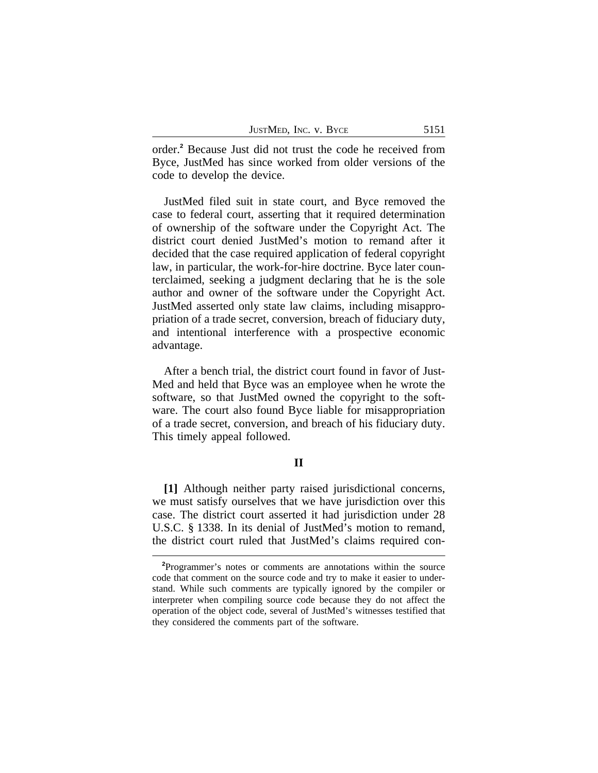| JUSTMED, INC. V. BYCE |  | 5151 |
|-----------------------|--|------|
|-----------------------|--|------|

order.**<sup>2</sup>** Because Just did not trust the code he received from Byce, JustMed has since worked from older versions of the code to develop the device.

JustMed filed suit in state court, and Byce removed the case to federal court, asserting that it required determination of ownership of the software under the Copyright Act. The district court denied JustMed's motion to remand after it decided that the case required application of federal copyright law, in particular, the work-for-hire doctrine. Byce later counterclaimed, seeking a judgment declaring that he is the sole author and owner of the software under the Copyright Act. JustMed asserted only state law claims, including misappropriation of a trade secret, conversion, breach of fiduciary duty, and intentional interference with a prospective economic advantage.

After a bench trial, the district court found in favor of Just-Med and held that Byce was an employee when he wrote the software, so that JustMed owned the copyright to the software. The court also found Byce liable for misappropriation of a trade secret, conversion, and breach of his fiduciary duty. This timely appeal followed.

### **II**

**[1]** Although neither party raised jurisdictional concerns, we must satisfy ourselves that we have jurisdiction over this case. The district court asserted it had jurisdiction under 28 U.S.C. § 1338. In its denial of JustMed's motion to remand, the district court ruled that JustMed's claims required con-

**<sup>2</sup>**Programmer's notes or comments are annotations within the source code that comment on the source code and try to make it easier to understand. While such comments are typically ignored by the compiler or interpreter when compiling source code because they do not affect the operation of the object code, several of JustMed's witnesses testified that they considered the comments part of the software.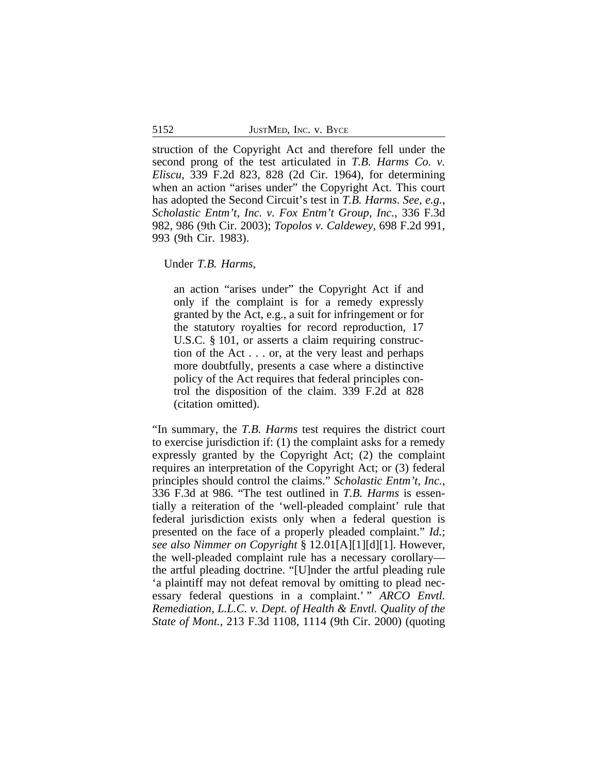struction of the Copyright Act and therefore fell under the second prong of the test articulated in *T.B. Harms Co. v. Eliscu*, 339 F.2d 823, 828 (2d Cir. 1964), for determining when an action "arises under" the Copyright Act. This court has adopted the Second Circuit's test in *T.B. Harms*. *See, e.g.*, *Scholastic Entm't, Inc. v. Fox Entm't Group, Inc.*, 336 F.3d 982, 986 (9th Cir. 2003); *Topolos v. Caldewey*, 698 F.2d 991, 993 (9th Cir. 1983).

Under *T.B. Harms*,

an action "arises under" the Copyright Act if and only if the complaint is for a remedy expressly granted by the Act, e.g., a suit for infringement or for the statutory royalties for record reproduction, 17 U.S.C. § 101, or asserts a claim requiring construction of the Act . . . or, at the very least and perhaps more doubtfully, presents a case where a distinctive policy of the Act requires that federal principles control the disposition of the claim. 339 F.2d at 828 (citation omitted).

"In summary, the *T.B. Harms* test requires the district court to exercise jurisdiction if: (1) the complaint asks for a remedy expressly granted by the Copyright Act; (2) the complaint requires an interpretation of the Copyright Act; or (3) federal principles should control the claims." *Scholastic Entm't, Inc.*, 336 F.3d at 986. "The test outlined in *T.B. Harms* is essentially a reiteration of the 'well-pleaded complaint' rule that federal jurisdiction exists only when a federal question is presented on the face of a properly pleaded complaint." *Id.*; *see also Nimmer on Copyright* § 12.01[A][1][d][1]. However, the well-pleaded complaint rule has a necessary corollary the artful pleading doctrine. "[U]nder the artful pleading rule 'a plaintiff may not defeat removal by omitting to plead necessary federal questions in a complaint.' " *ARCO Envtl. Remediation, L.L.C. v. Dept. of Health & Envtl. Quality of the State of Mont.*, 213 F.3d 1108, 1114 (9th Cir. 2000) (quoting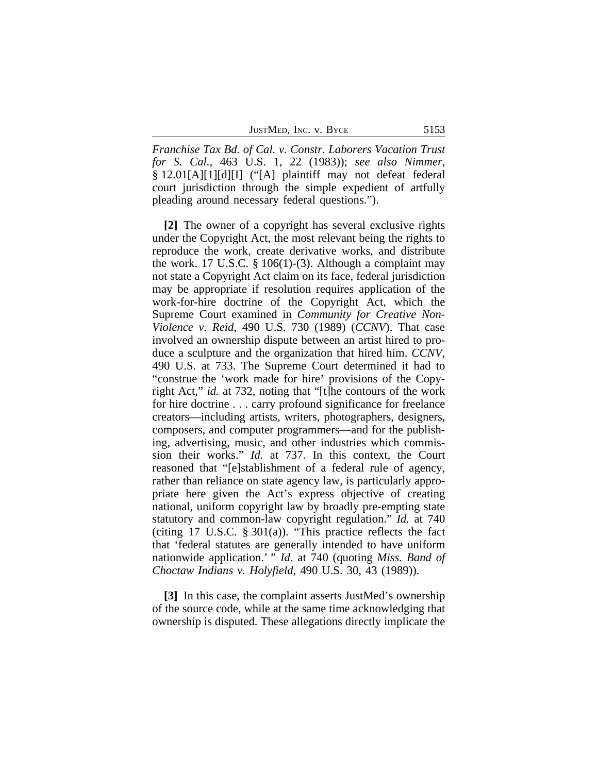JUSTMED, INC. V. BYCE 5153

*Franchise Tax Bd. of Cal. v. Constr. Laborers Vacation Trust for S. Cal.*, 463 U.S. 1, 22 (1983)); *see also Nimmer*, § 12.01[A][1][d][I] ("[A] plaintiff may not defeat federal court jurisdiction through the simple expedient of artfully pleading around necessary federal questions.").

**[2]** The owner of a copyright has several exclusive rights under the Copyright Act, the most relevant being the rights to reproduce the work, create derivative works, and distribute the work. 17 U.S.C.  $\S 106(1)$ -(3). Although a complaint may not state a Copyright Act claim on its face, federal jurisdiction may be appropriate if resolution requires application of the work-for-hire doctrine of the Copyright Act, which the Supreme Court examined in *Community for Creative Non-Violence v. Reid*, 490 U.S. 730 (1989) (*CCNV*). That case involved an ownership dispute between an artist hired to produce a sculpture and the organization that hired him. *CCNV*, 490 U.S. at 733. The Supreme Court determined it had to "construe the 'work made for hire' provisions of the Copyright Act," *id.* at 732, noting that "[t]he contours of the work for hire doctrine . . . carry profound significance for freelance creators—including artists, writers, photographers, designers, composers, and computer programmers—and for the publishing, advertising, music, and other industries which commission their works." *Id.* at 737. In this context, the Court reasoned that "[e]stablishment of a federal rule of agency, rather than reliance on state agency law, is particularly appropriate here given the Act's express objective of creating national, uniform copyright law by broadly pre-empting state statutory and common-law copyright regulation." *Id.* at 740 (citing 17 U.S.C.  $\S 301(a)$ ). "This practice reflects the fact that 'federal statutes are generally intended to have uniform nationwide application.' " *Id.* at 740 (quoting *Miss. Band of Choctaw Indians v. Holyfield*, 490 U.S. 30, 43 (1989)).

**[3]** In this case, the complaint asserts JustMed's ownership of the source code, while at the same time acknowledging that ownership is disputed. These allegations directly implicate the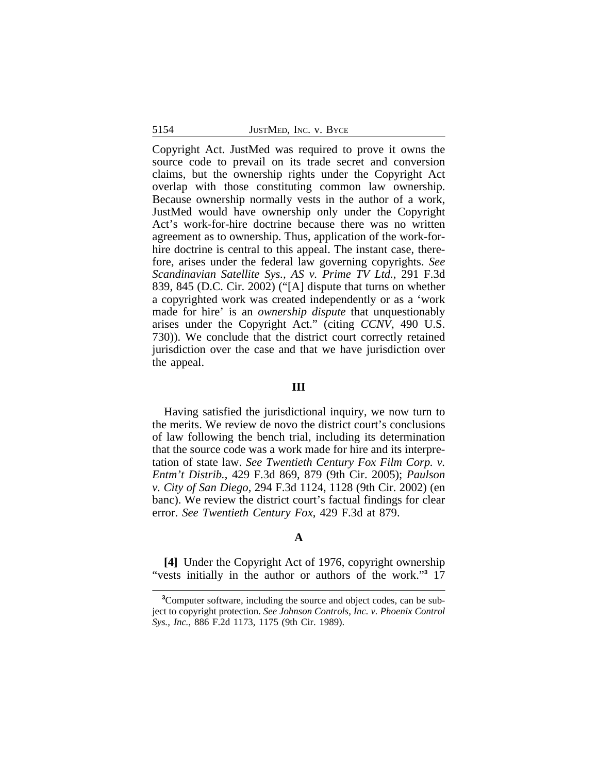Copyright Act. JustMed was required to prove it owns the source code to prevail on its trade secret and conversion claims, but the ownership rights under the Copyright Act overlap with those constituting common law ownership. Because ownership normally vests in the author of a work, JustMed would have ownership only under the Copyright Act's work-for-hire doctrine because there was no written agreement as to ownership. Thus, application of the work-forhire doctrine is central to this appeal. The instant case, therefore, arises under the federal law governing copyrights. *See Scandinavian Satellite Sys., AS v. Prime TV Ltd.*, 291 F.3d 839, 845 (D.C. Cir. 2002) ("[A] dispute that turns on whether a copyrighted work was created independently or as a 'work made for hire' is an *ownership dispute* that unquestionably arises under the Copyright Act." (citing *CCNV*, 490 U.S. 730)). We conclude that the district court correctly retained jurisdiction over the case and that we have jurisdiction over the appeal.

#### **III**

Having satisfied the jurisdictional inquiry, we now turn to the merits. We review de novo the district court's conclusions of law following the bench trial, including its determination that the source code was a work made for hire and its interpretation of state law. *See Twentieth Century Fox Film Corp. v. Entm't Distrib.*, 429 F.3d 869, 879 (9th Cir. 2005); *Paulson v. City of San Diego*, 294 F.3d 1124, 1128 (9th Cir. 2002) (en banc). We review the district court's factual findings for clear error. *See Twentieth Century Fox*, 429 F.3d at 879.

## **A**

**[4]** Under the Copyright Act of 1976, copyright ownership "vests initially in the author or authors of the work."<sup>3</sup> 17

**<sup>3</sup>**Computer software, including the source and object codes, can be subject to copyright protection. *See Johnson Controls, Inc. v. Phoenix Control Sys., Inc.*, 886 F.2d 1173, 1175 (9th Cir. 1989).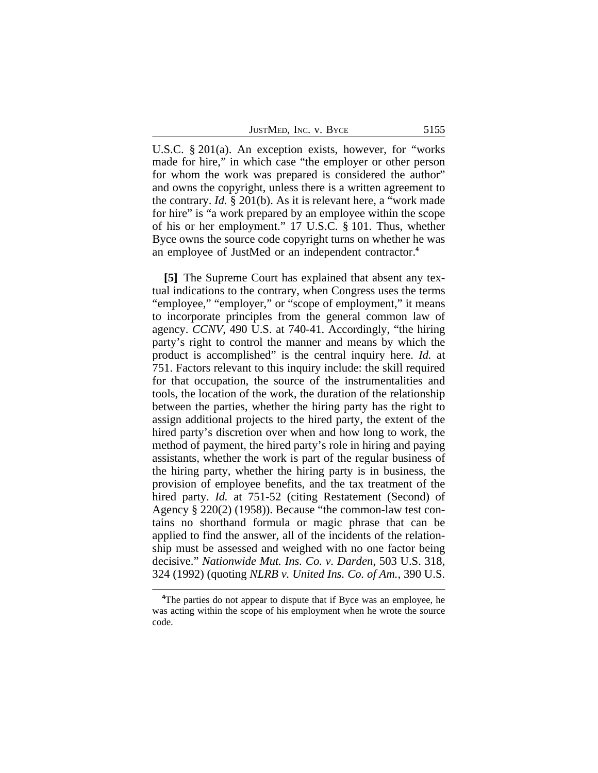| JUSTMED, INC. V. BYCE |  | 5155 |
|-----------------------|--|------|
|-----------------------|--|------|

U.S.C. § 201(a). An exception exists, however, for "works made for hire," in which case "the employer or other person for whom the work was prepared is considered the author" and owns the copyright, unless there is a written agreement to the contrary. *Id.* § 201(b). As it is relevant here, a "work made for hire" is "a work prepared by an employee within the scope of his or her employment." 17 U.S.C. § 101. Thus, whether Byce owns the source code copyright turns on whether he was an employee of JustMed or an independent contractor.**<sup>4</sup>**

**[5]** The Supreme Court has explained that absent any textual indications to the contrary, when Congress uses the terms "employee," "employer," or "scope of employment," it means to incorporate principles from the general common law of agency. *CCNV*, 490 U.S. at 740-41. Accordingly, "the hiring party's right to control the manner and means by which the product is accomplished" is the central inquiry here. *Id.* at 751. Factors relevant to this inquiry include: the skill required for that occupation, the source of the instrumentalities and tools, the location of the work, the duration of the relationship between the parties, whether the hiring party has the right to assign additional projects to the hired party, the extent of the hired party's discretion over when and how long to work, the method of payment, the hired party's role in hiring and paying assistants, whether the work is part of the regular business of the hiring party, whether the hiring party is in business, the provision of employee benefits, and the tax treatment of the hired party. *Id.* at 751-52 (citing Restatement (Second) of Agency § 220(2) (1958)). Because "the common-law test contains no shorthand formula or magic phrase that can be applied to find the answer, all of the incidents of the relationship must be assessed and weighed with no one factor being decisive." *Nationwide Mut. Ins. Co. v. Darden*, 503 U.S. 318, 324 (1992) (quoting *NLRB v. United Ins. Co. of Am.*, 390 U.S.

**<sup>4</sup>**The parties do not appear to dispute that if Byce was an employee, he was acting within the scope of his employment when he wrote the source code.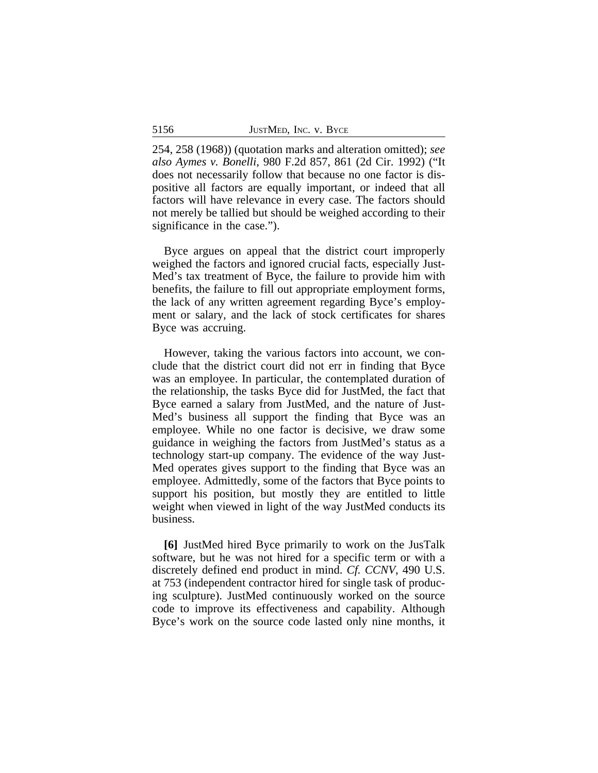254, 258 (1968)) (quotation marks and alteration omitted); *see also Aymes v. Bonelli*, 980 F.2d 857, 861 (2d Cir. 1992) ("It does not necessarily follow that because no one factor is dispositive all factors are equally important, or indeed that all factors will have relevance in every case. The factors should not merely be tallied but should be weighed according to their significance in the case.").

Byce argues on appeal that the district court improperly weighed the factors and ignored crucial facts, especially Just-Med's tax treatment of Byce, the failure to provide him with benefits, the failure to fill out appropriate employment forms, the lack of any written agreement regarding Byce's employment or salary, and the lack of stock certificates for shares Byce was accruing.

However, taking the various factors into account, we conclude that the district court did not err in finding that Byce was an employee. In particular, the contemplated duration of the relationship, the tasks Byce did for JustMed, the fact that Byce earned a salary from JustMed, and the nature of Just-Med's business all support the finding that Byce was an employee. While no one factor is decisive, we draw some guidance in weighing the factors from JustMed's status as a technology start-up company. The evidence of the way Just-Med operates gives support to the finding that Byce was an employee. Admittedly, some of the factors that Byce points to support his position, but mostly they are entitled to little weight when viewed in light of the way JustMed conducts its business.

**[6]** JustMed hired Byce primarily to work on the JusTalk software, but he was not hired for a specific term or with a discretely defined end product in mind. *Cf. CCNV*, 490 U.S. at 753 (independent contractor hired for single task of producing sculpture). JustMed continuously worked on the source code to improve its effectiveness and capability. Although Byce's work on the source code lasted only nine months, it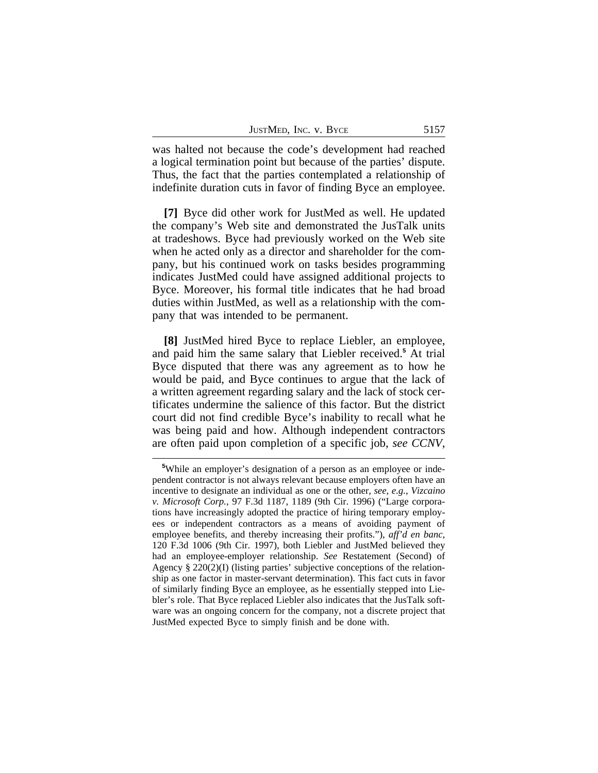| JustMed, Inc. v. Byce | 5157 |  |  |  |
|-----------------------|------|--|--|--|
|-----------------------|------|--|--|--|

was halted not because the code's development had reached a logical termination point but because of the parties' dispute. Thus, the fact that the parties contemplated a relationship of indefinite duration cuts in favor of finding Byce an employee.

**[7]** Byce did other work for JustMed as well. He updated the company's Web site and demonstrated the JusTalk units at tradeshows. Byce had previously worked on the Web site when he acted only as a director and shareholder for the company, but his continued work on tasks besides programming indicates JustMed could have assigned additional projects to Byce. Moreover, his formal title indicates that he had broad duties within JustMed, as well as a relationship with the company that was intended to be permanent.

**[8]** JustMed hired Byce to replace Liebler, an employee, and paid him the same salary that Liebler received.**<sup>5</sup>** At trial Byce disputed that there was any agreement as to how he would be paid, and Byce continues to argue that the lack of a written agreement regarding salary and the lack of stock certificates undermine the salience of this factor. But the district court did not find credible Byce's inability to recall what he was being paid and how. Although independent contractors are often paid upon completion of a specific job, *see CCNV*,

**<sup>5</sup>**While an employer's designation of a person as an employee or independent contractor is not always relevant because employers often have an incentive to designate an individual as one or the other, *see, e.g.*, *Vizcaino v. Microsoft Corp.*, 97 F.3d 1187, 1189 (9th Cir. 1996) ("Large corporations have increasingly adopted the practice of hiring temporary employees or independent contractors as a means of avoiding payment of employee benefits, and thereby increasing their profits."), *aff'd en banc*, 120 F.3d 1006 (9th Cir. 1997), both Liebler and JustMed believed they had an employee-employer relationship. *See* Restatement (Second) of Agency § 220(2)(I) (listing parties' subjective conceptions of the relationship as one factor in master-servant determination). This fact cuts in favor of similarly finding Byce an employee, as he essentially stepped into Liebler's role. That Byce replaced Liebler also indicates that the JusTalk software was an ongoing concern for the company, not a discrete project that JustMed expected Byce to simply finish and be done with.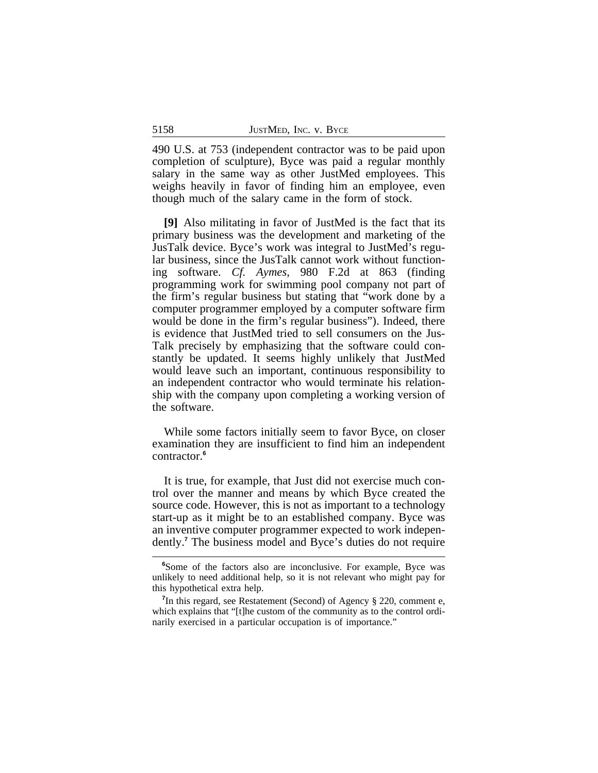490 U.S. at 753 (independent contractor was to be paid upon completion of sculpture), Byce was paid a regular monthly salary in the same way as other JustMed employees. This weighs heavily in favor of finding him an employee, even though much of the salary came in the form of stock.

**[9]** Also militating in favor of JustMed is the fact that its primary business was the development and marketing of the JusTalk device. Byce's work was integral to JustMed's regular business, since the JusTalk cannot work without functioning software. *Cf. Aymes*, 980 F.2d at 863 (finding programming work for swimming pool company not part of the firm's regular business but stating that "work done by a computer programmer employed by a computer software firm would be done in the firm's regular business"). Indeed, there is evidence that JustMed tried to sell consumers on the Jus-Talk precisely by emphasizing that the software could constantly be updated. It seems highly unlikely that JustMed would leave such an important, continuous responsibility to an independent contractor who would terminate his relationship with the company upon completing a working version of the software.

While some factors initially seem to favor Byce, on closer examination they are insufficient to find him an independent contractor.**<sup>6</sup>**

It is true, for example, that Just did not exercise much control over the manner and means by which Byce created the source code. However, this is not as important to a technology start-up as it might be to an established company. Byce was an inventive computer programmer expected to work independently.**<sup>7</sup>** The business model and Byce's duties do not require

**<sup>6</sup>**Some of the factors also are inconclusive. For example, Byce was unlikely to need additional help, so it is not relevant who might pay for this hypothetical extra help.

<sup>&</sup>lt;sup>7</sup>In this regard, see Restatement (Second) of Agency § 220, comment e, which explains that "[t]he custom of the community as to the control ordinarily exercised in a particular occupation is of importance."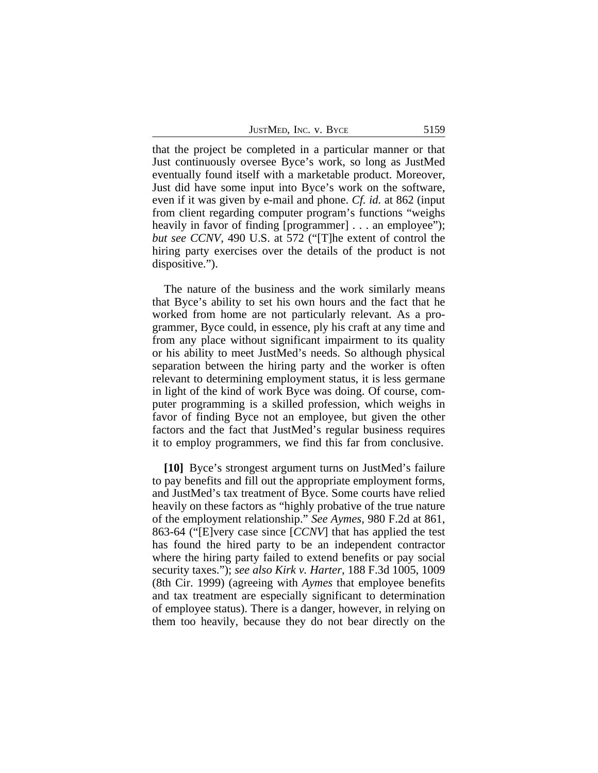JUSTMED, INC. V. BYCE 5159

that the project be completed in a particular manner or that Just continuously oversee Byce's work, so long as JustMed eventually found itself with a marketable product. Moreover, Just did have some input into Byce's work on the software, even if it was given by e-mail and phone. *Cf. id.* at 862 (input from client regarding computer program's functions "weighs heavily in favor of finding [programmer] . . . an employee"); *but see CCNV*, 490 U.S. at 572 ("[T]he extent of control the hiring party exercises over the details of the product is not dispositive.").

The nature of the business and the work similarly means that Byce's ability to set his own hours and the fact that he worked from home are not particularly relevant. As a programmer, Byce could, in essence, ply his craft at any time and from any place without significant impairment to its quality or his ability to meet JustMed's needs. So although physical separation between the hiring party and the worker is often relevant to determining employment status, it is less germane in light of the kind of work Byce was doing. Of course, computer programming is a skilled profession, which weighs in favor of finding Byce not an employee, but given the other factors and the fact that JustMed's regular business requires it to employ programmers, we find this far from conclusive.

**[10]** Byce's strongest argument turns on JustMed's failure to pay benefits and fill out the appropriate employment forms, and JustMed's tax treatment of Byce. Some courts have relied heavily on these factors as "highly probative of the true nature of the employment relationship." *See Aymes*, 980 F.2d at 861, 863-64 ("[E]very case since [*CCNV*] that has applied the test has found the hired party to be an independent contractor where the hiring party failed to extend benefits or pay social security taxes."); *see also Kirk v. Harter*, 188 F.3d 1005, 1009 (8th Cir. 1999) (agreeing with *Aymes* that employee benefits and tax treatment are especially significant to determination of employee status). There is a danger, however, in relying on them too heavily, because they do not bear directly on the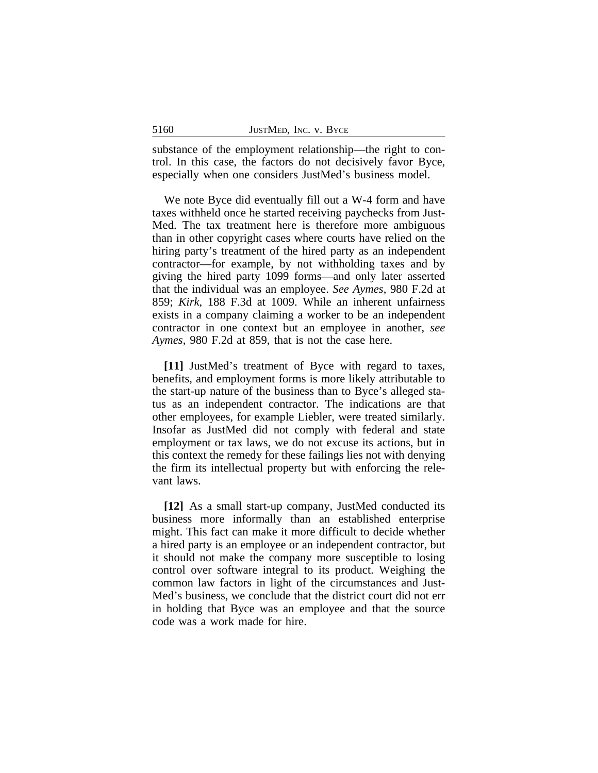substance of the employment relationship—the right to control. In this case, the factors do not decisively favor Byce, especially when one considers JustMed's business model.

We note Byce did eventually fill out a W-4 form and have taxes withheld once he started receiving paychecks from Just-Med. The tax treatment here is therefore more ambiguous than in other copyright cases where courts have relied on the hiring party's treatment of the hired party as an independent contractor—for example, by not withholding taxes and by giving the hired party 1099 forms—and only later asserted that the individual was an employee. *See Aymes*, 980 F.2d at 859; *Kirk*, 188 F.3d at 1009. While an inherent unfairness exists in a company claiming a worker to be an independent contractor in one context but an employee in another, *see Aymes*, 980 F.2d at 859, that is not the case here.

**[11]** JustMed's treatment of Byce with regard to taxes, benefits, and employment forms is more likely attributable to the start-up nature of the business than to Byce's alleged status as an independent contractor. The indications are that other employees, for example Liebler, were treated similarly. Insofar as JustMed did not comply with federal and state employment or tax laws, we do not excuse its actions, but in this context the remedy for these failings lies not with denying the firm its intellectual property but with enforcing the relevant laws.

**[12]** As a small start-up company, JustMed conducted its business more informally than an established enterprise might. This fact can make it more difficult to decide whether a hired party is an employee or an independent contractor, but it should not make the company more susceptible to losing control over software integral to its product. Weighing the common law factors in light of the circumstances and Just-Med's business, we conclude that the district court did not err in holding that Byce was an employee and that the source code was a work made for hire.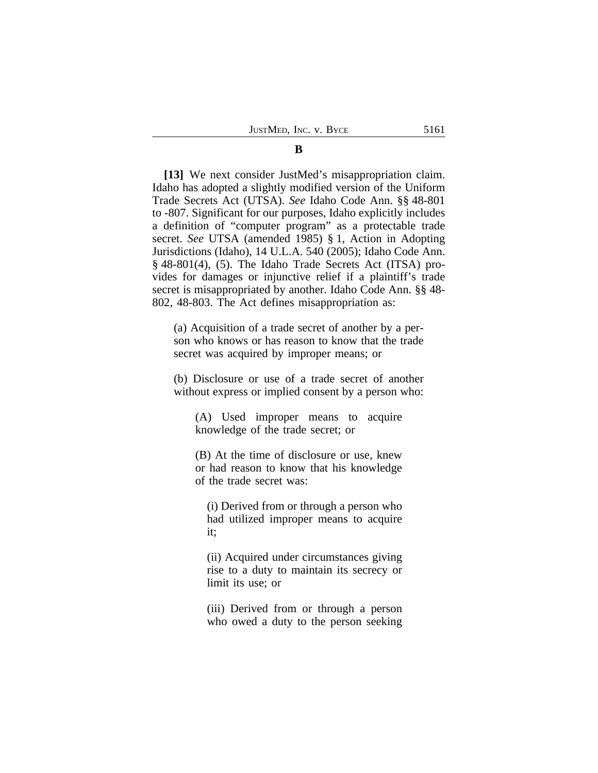#### **B**

**[13]** We next consider JustMed's misappropriation claim. Idaho has adopted a slightly modified version of the Uniform Trade Secrets Act (UTSA). *See* Idaho Code Ann. §§ 48-801 to -807. Significant for our purposes, Idaho explicitly includes a definition of "computer program" as a protectable trade secret. *See* UTSA (amended 1985) § 1, Action in Adopting Jurisdictions (Idaho), 14 U.L.A. 540 (2005); Idaho Code Ann. § 48-801(4), (5). The Idaho Trade Secrets Act (ITSA) provides for damages or injunctive relief if a plaintiff's trade secret is misappropriated by another. Idaho Code Ann. §§ 48- 802, 48-803. The Act defines misappropriation as:

(a) Acquisition of a trade secret of another by a person who knows or has reason to know that the trade secret was acquired by improper means; or

(b) Disclosure or use of a trade secret of another without express or implied consent by a person who:

(A) Used improper means to acquire knowledge of the trade secret; or

(B) At the time of disclosure or use, knew or had reason to know that his knowledge of the trade secret was:

(i) Derived from or through a person who had utilized improper means to acquire it;

(ii) Acquired under circumstances giving rise to a duty to maintain its secrecy or limit its use; or

(iii) Derived from or through a person who owed a duty to the person seeking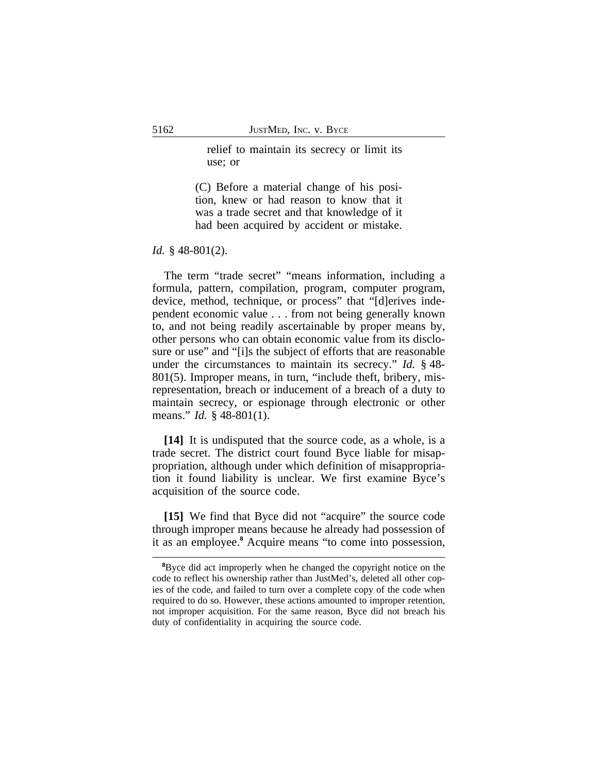relief to maintain its secrecy or limit its use; or

(C) Before a material change of his position, knew or had reason to know that it was a trade secret and that knowledge of it had been acquired by accident or mistake.

*Id.* § 48-801(2).

The term "trade secret" "means information, including a formula, pattern, compilation, program, computer program, device, method, technique, or process" that "[d]erives independent economic value . . . from not being generally known to, and not being readily ascertainable by proper means by, other persons who can obtain economic value from its disclosure or use" and "[i]s the subject of efforts that are reasonable under the circumstances to maintain its secrecy." *Id.* § 48- 801(5). Improper means, in turn, "include theft, bribery, misrepresentation, breach or inducement of a breach of a duty to maintain secrecy, or espionage through electronic or other means." *Id.* § 48-801(1).

**[14]** It is undisputed that the source code, as a whole, is a trade secret. The district court found Byce liable for misappropriation, although under which definition of misappropriation it found liability is unclear. We first examine Byce's acquisition of the source code.

**[15]** We find that Byce did not "acquire" the source code through improper means because he already had possession of it as an employee.**<sup>8</sup>** Acquire means "to come into possession,

<sup>&</sup>lt;sup>8</sup>Byce did act improperly when he changed the copyright notice on the code to reflect his ownership rather than JustMed's, deleted all other copies of the code, and failed to turn over a complete copy of the code when required to do so. However, these actions amounted to improper retention, not improper acquisition. For the same reason, Byce did not breach his duty of confidentiality in acquiring the source code.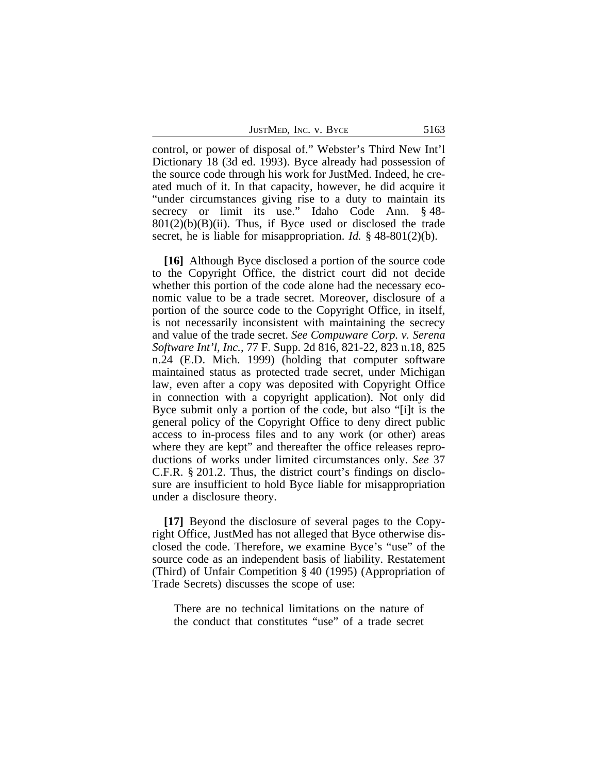| JUSTMED, INC. V. BYCE |  | 5163 |
|-----------------------|--|------|
|-----------------------|--|------|

control, or power of disposal of." Webster's Third New Int'l Dictionary 18 (3d ed. 1993). Byce already had possession of the source code through his work for JustMed. Indeed, he created much of it. In that capacity, however, he did acquire it "under circumstances giving rise to a duty to maintain its secrecy or limit its use." Idaho Code Ann. § 48- $801(2)(b)(B)(ii)$ . Thus, if Byce used or disclosed the trade secret, he is liable for misappropriation. *Id.* § 48-801(2)(b).

**[16]** Although Byce disclosed a portion of the source code to the Copyright Office, the district court did not decide whether this portion of the code alone had the necessary economic value to be a trade secret. Moreover, disclosure of a portion of the source code to the Copyright Office, in itself, is not necessarily inconsistent with maintaining the secrecy and value of the trade secret. *See Compuware Corp. v. Serena Software Int'l, Inc.*, 77 F. Supp. 2d 816, 821-22, 823 n.18, 825 n.24 (E.D. Mich. 1999) (holding that computer software maintained status as protected trade secret, under Michigan law, even after a copy was deposited with Copyright Office in connection with a copyright application). Not only did Byce submit only a portion of the code, but also "[i]t is the general policy of the Copyright Office to deny direct public access to in-process files and to any work (or other) areas where they are kept" and thereafter the office releases reproductions of works under limited circumstances only. *See* 37 C.F.R. § 201.2. Thus, the district court's findings on disclosure are insufficient to hold Byce liable for misappropriation under a disclosure theory.

**[17]** Beyond the disclosure of several pages to the Copyright Office, JustMed has not alleged that Byce otherwise disclosed the code. Therefore, we examine Byce's "use" of the source code as an independent basis of liability. Restatement (Third) of Unfair Competition § 40 (1995) (Appropriation of Trade Secrets) discusses the scope of use:

There are no technical limitations on the nature of the conduct that constitutes "use" of a trade secret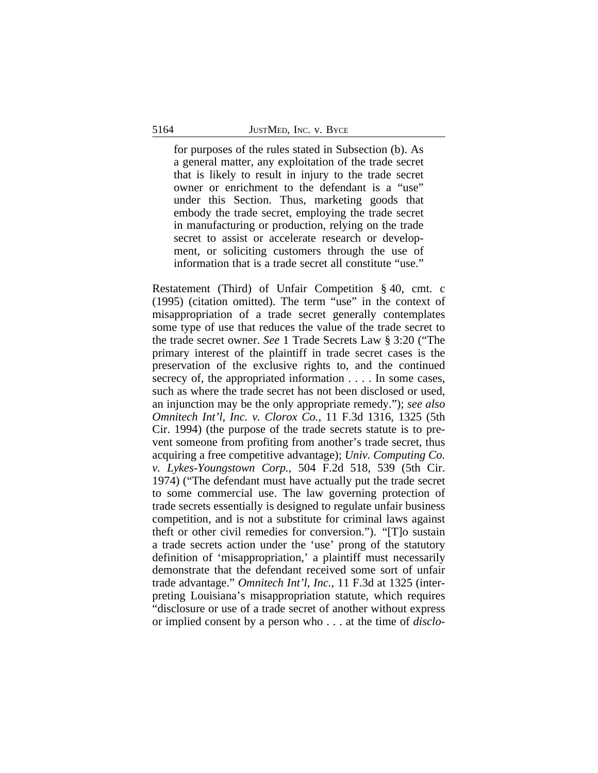for purposes of the rules stated in Subsection (b). As a general matter, any exploitation of the trade secret that is likely to result in injury to the trade secret owner or enrichment to the defendant is a "use" under this Section. Thus, marketing goods that embody the trade secret, employing the trade secret in manufacturing or production, relying on the trade secret to assist or accelerate research or development, or soliciting customers through the use of information that is a trade secret all constitute "use."

Restatement (Third) of Unfair Competition § 40, cmt. c (1995) (citation omitted). The term "use" in the context of misappropriation of a trade secret generally contemplates some type of use that reduces the value of the trade secret to the trade secret owner. *See* 1 Trade Secrets Law § 3:20 ("The primary interest of the plaintiff in trade secret cases is the preservation of the exclusive rights to, and the continued secrecy of, the appropriated information . . . . In some cases, such as where the trade secret has not been disclosed or used, an injunction may be the only appropriate remedy."); *see also Omnitech Int'l, Inc. v. Clorox Co.*, 11 F.3d 1316, 1325 (5th Cir. 1994) (the purpose of the trade secrets statute is to prevent someone from profiting from another's trade secret, thus acquiring a free competitive advantage); *Univ. Computing Co. v. Lykes-Youngstown Corp.*, 504 F.2d 518, 539 (5th Cir. 1974) ("The defendant must have actually put the trade secret to some commercial use. The law governing protection of trade secrets essentially is designed to regulate unfair business competition, and is not a substitute for criminal laws against theft or other civil remedies for conversion."). "[T]o sustain a trade secrets action under the 'use' prong of the statutory definition of 'misappropriation,' a plaintiff must necessarily demonstrate that the defendant received some sort of unfair trade advantage." *Omnitech Int'l, Inc.*, 11 F.3d at 1325 (interpreting Louisiana's misappropriation statute, which requires "disclosure or use of a trade secret of another without express or implied consent by a person who . . . at the time of *disclo-*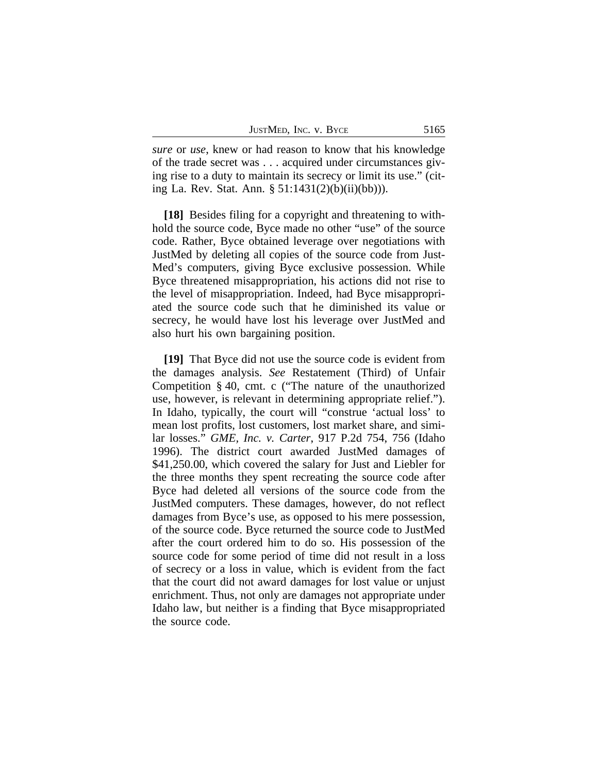| JUSTMED, INC. V. BYCE |  | 5165 |
|-----------------------|--|------|
|-----------------------|--|------|

*sure* or *use*, knew or had reason to know that his knowledge of the trade secret was . . . acquired under circumstances giving rise to a duty to maintain its secrecy or limit its use." (citing La. Rev. Stat. Ann. § 51:1431(2)(b)(ii)(bb))).

**[18]** Besides filing for a copyright and threatening to withhold the source code, Byce made no other "use" of the source code. Rather, Byce obtained leverage over negotiations with JustMed by deleting all copies of the source code from Just-Med's computers, giving Byce exclusive possession. While Byce threatened misappropriation, his actions did not rise to the level of misappropriation. Indeed, had Byce misappropriated the source code such that he diminished its value or secrecy, he would have lost his leverage over JustMed and also hurt his own bargaining position.

**[19]** That Byce did not use the source code is evident from the damages analysis. *See* Restatement (Third) of Unfair Competition § 40, cmt. c ("The nature of the unauthorized use, however, is relevant in determining appropriate relief."). In Idaho, typically, the court will "construe 'actual loss' to mean lost profits, lost customers, lost market share, and similar losses." *GME, Inc. v. Carter*, 917 P.2d 754, 756 (Idaho 1996). The district court awarded JustMed damages of \$41,250.00, which covered the salary for Just and Liebler for the three months they spent recreating the source code after Byce had deleted all versions of the source code from the JustMed computers. These damages, however, do not reflect damages from Byce's use, as opposed to his mere possession, of the source code. Byce returned the source code to JustMed after the court ordered him to do so. His possession of the source code for some period of time did not result in a loss of secrecy or a loss in value, which is evident from the fact that the court did not award damages for lost value or unjust enrichment. Thus, not only are damages not appropriate under Idaho law, but neither is a finding that Byce misappropriated the source code.